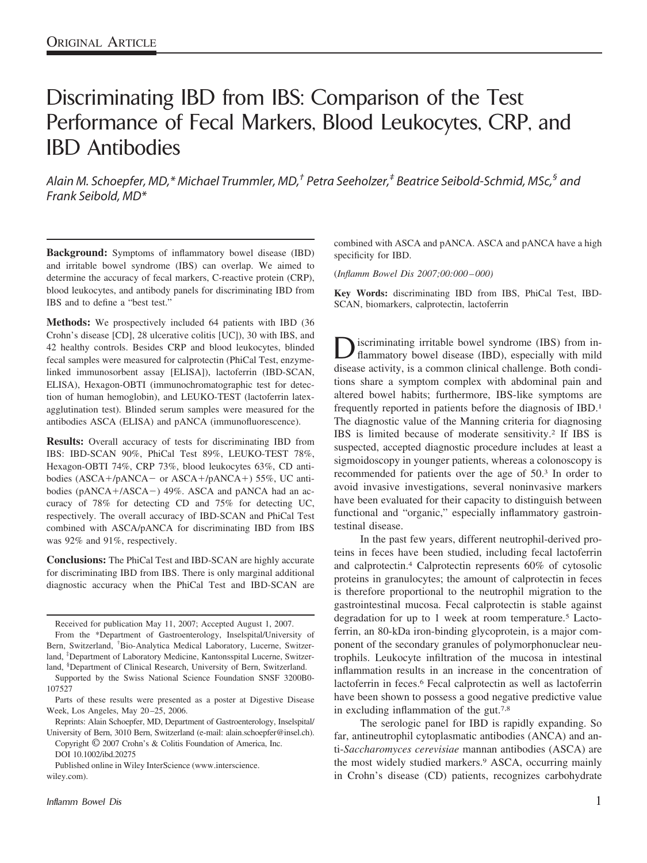# Discriminating IBD from IBS: Comparison of the Test Performance of Fecal Markers, Blood Leukocytes, CRP, and IBD Antibodies

*Alain M. Schoepfer, MD,\* Michael Trummler, MD,† Petra Seeholzer,‡ Beatrice Seibold-Schmid, MSc,§ and Frank Seibold, MD\**

**Background:** Symptoms of inflammatory bowel disease (IBD) and irritable bowel syndrome (IBS) can overlap. We aimed to determine the accuracy of fecal markers, C-reactive protein (CRP), blood leukocytes, and antibody panels for discriminating IBD from IBS and to define a "best test."

**Methods:** We prospectively included 64 patients with IBD (36 Crohn's disease [CD], 28 ulcerative colitis [UC]), 30 with IBS, and 42 healthy controls. Besides CRP and blood leukocytes, blinded fecal samples were measured for calprotectin (PhiCal Test, enzymelinked immunosorbent assay [ELISA]), lactoferrin (IBD-SCAN, ELISA), Hexagon-OBTI (immunochromatographic test for detection of human hemoglobin), and LEUKO-TEST (lactoferrin latexagglutination test). Blinded serum samples were measured for the antibodies ASCA (ELISA) and pANCA (immunofluorescence).

**Results:** Overall accuracy of tests for discriminating IBD from IBS: IBD-SCAN 90%, PhiCal Test 89%, LEUKO-TEST 78%, Hexagon-OBTI 74%, CRP 73%, blood leukocytes 63%, CD antibodies (ASCA+/pANCA- or ASCA+/pANCA+) 55%, UC antibodies (pANCA+/ASCA-) 49%. ASCA and pANCA had an accuracy of 78% for detecting CD and 75% for detecting UC, respectively. The overall accuracy of IBD-SCAN and PhiCal Test combined with ASCA/pANCA for discriminating IBD from IBS was 92% and 91%, respectively.

**Conclusions:** The PhiCal Test and IBD-SCAN are highly accurate for discriminating IBD from IBS. There is only marginal additional diagnostic accuracy when the PhiCal Test and IBD-SCAN are

From the \*Department of Gastroenterology, Inselspital/University of Bern, Switzerland, † Bio-Analytica Medical Laboratory, Lucerne, Switzerland, ‡ Department of Laboratory Medicine, Kantonsspital Lucerne, Switzerland, <sup>§</sup>Department of Clinical Research, University of Bern, Switzerland.

Supported by the Swiss National Science Foundation SNSF 3200B0- 107527

Copyright © 2007 Crohn's & Colitis Foundation of America, Inc. DOI 10.1002/ibd.20275

Published online in Wiley InterScience (www.interscience. wiley.com).

combined with ASCA and pANCA. ASCA and pANCA have a high specificity for IBD.

(*Inflamm Bowel Dis 2007;00:000 – 000)*

**Key Words:** discriminating IBD from IBS, PhiCal Test, IBD-SCAN, biomarkers, calprotectin, lactoferrin

Discriminating irritable bowel syndrome (IBS) from in-<br>flammatory bowel disease (IBD), especially with mild disease activity, is a common clinical challenge. Both conditions share a symptom complex with abdominal pain and altered bowel habits; furthermore, IBS-like symptoms are frequently reported in patients before the diagnosis of IBD.1 The diagnostic value of the Manning criteria for diagnosing IBS is limited because of moderate sensitivity.2 If IBS is suspected, accepted diagnostic procedure includes at least a sigmoidoscopy in younger patients, whereas a colonoscopy is recommended for patients over the age of 50.3 In order to avoid invasive investigations, several noninvasive markers have been evaluated for their capacity to distinguish between functional and "organic," especially inflammatory gastrointestinal disease.

In the past few years, different neutrophil-derived proteins in feces have been studied, including fecal lactoferrin and calprotectin.4 Calprotectin represents 60% of cytosolic proteins in granulocytes; the amount of calprotectin in feces is therefore proportional to the neutrophil migration to the gastrointestinal mucosa. Fecal calprotectin is stable against degradation for up to 1 week at room temperature.<sup>5</sup> Lactoferrin, an 80-kDa iron-binding glycoprotein, is a major component of the secondary granules of polymorphonuclear neutrophils. Leukocyte infiltration of the mucosa in intestinal inflammation results in an increase in the concentration of lactoferrin in feces.6 Fecal calprotectin as well as lactoferrin have been shown to possess a good negative predictive value in excluding inflammation of the gut.7,8

The serologic panel for IBD is rapidly expanding. So far, antineutrophil cytoplasmatic antibodies (ANCA) and anti-*Saccharomyces cerevisiae* mannan antibodies (ASCA) are the most widely studied markers.9 ASCA, occurring mainly in Crohn's disease (CD) patients, recognizes carbohydrate

Received for publication May 11, 2007; Accepted August 1, 2007.

Parts of these results were presented as a poster at Digestive Disease Week, Los Angeles, May 20 –25, 2006.

Reprints: Alain Schoepfer, MD, Department of Gastroenterology, Inselspital/ University of Bern, 3010 Bern, Switzerland (e-mail: alain.schoepfer@insel.ch).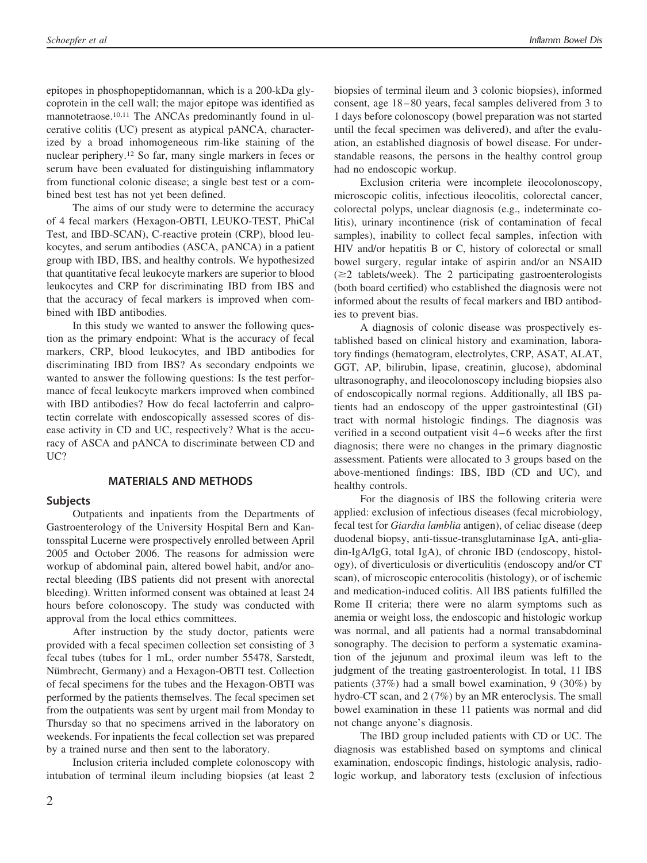*Schoepfer et al* Inflamm Bowel Dis

epitopes in phosphopeptidomannan, which is a 200-kDa glycoprotein in the cell wall; the major epitope was identified as mannotetraose.10,11 The ANCAs predominantly found in ulcerative colitis (UC) present as atypical pANCA, characterized by a broad inhomogeneous rim-like staining of the nuclear periphery.12 So far, many single markers in feces or serum have been evaluated for distinguishing inflammatory from functional colonic disease; a single best test or a combined best test has not yet been defined.

The aims of our study were to determine the accuracy of 4 fecal markers (Hexagon-OBTI, LEUKO-TEST, PhiCal Test, and IBD-SCAN), C-reactive protein (CRP), blood leukocytes, and serum antibodies (ASCA, pANCA) in a patient group with IBD, IBS, and healthy controls. We hypothesized that quantitative fecal leukocyte markers are superior to blood leukocytes and CRP for discriminating IBD from IBS and that the accuracy of fecal markers is improved when combined with IBD antibodies.

In this study we wanted to answer the following question as the primary endpoint: What is the accuracy of fecal markers, CRP, blood leukocytes, and IBD antibodies for discriminating IBD from IBS? As secondary endpoints we wanted to answer the following questions: Is the test performance of fecal leukocyte markers improved when combined with IBD antibodies? How do fecal lactoferrin and calprotectin correlate with endoscopically assessed scores of disease activity in CD and UC, respectively? What is the accuracy of ASCA and pANCA to discriminate between CD and UC?

# **MATERIALS AND METHODS**

#### **Subjects**

Outpatients and inpatients from the Departments of Gastroenterology of the University Hospital Bern and Kantonsspital Lucerne were prospectively enrolled between April 2005 and October 2006. The reasons for admission were workup of abdominal pain, altered bowel habit, and/or anorectal bleeding (IBS patients did not present with anorectal bleeding). Written informed consent was obtained at least 24 hours before colonoscopy. The study was conducted with approval from the local ethics committees.

After instruction by the study doctor, patients were provided with a fecal specimen collection set consisting of 3 fecal tubes (tubes for 1 mL, order number 55478, Sarstedt, Nümbrecht, Germany) and a Hexagon-OBTI test. Collection of fecal specimens for the tubes and the Hexagon-OBTI was performed by the patients themselves. The fecal specimen set from the outpatients was sent by urgent mail from Monday to Thursday so that no specimens arrived in the laboratory on weekends. For inpatients the fecal collection set was prepared by a trained nurse and then sent to the laboratory.

Inclusion criteria included complete colonoscopy with intubation of terminal ileum including biopsies (at least 2

consent, age 18 – 80 years, fecal samples delivered from 3 to 1 days before colonoscopy (bowel preparation was not started until the fecal specimen was delivered), and after the evaluation, an established diagnosis of bowel disease. For understandable reasons, the persons in the healthy control group had no endoscopic workup. Exclusion criteria were incomplete ileocolonoscopy,

microscopic colitis, infectious ileocolitis, colorectal cancer, colorectal polyps, unclear diagnosis (e.g., indeterminate colitis), urinary incontinence (risk of contamination of fecal samples), inability to collect fecal samples, infection with HIV and/or hepatitis B or C, history of colorectal or small bowel surgery, regular intake of aspirin and/or an NSAID  $(\geq 2$  tablets/week). The 2 participating gastroenterologists (both board certified) who established the diagnosis were not informed about the results of fecal markers and IBD antibodies to prevent bias.

biopsies of terminal ileum and 3 colonic biopsies), informed

A diagnosis of colonic disease was prospectively established based on clinical history and examination, laboratory findings (hematogram, electrolytes, CRP, ASAT, ALAT, GGT, AP, bilirubin, lipase, creatinin, glucose), abdominal ultrasonography, and ileocolonoscopy including biopsies also of endoscopically normal regions. Additionally, all IBS patients had an endoscopy of the upper gastrointestinal (GI) tract with normal histologic findings. The diagnosis was verified in a second outpatient visit 4 – 6 weeks after the first diagnosis; there were no changes in the primary diagnostic assessment. Patients were allocated to 3 groups based on the above-mentioned findings: IBS, IBD (CD and UC), and healthy controls.

For the diagnosis of IBS the following criteria were applied: exclusion of infectious diseases (fecal microbiology, fecal test for *Giardia lamblia* antigen), of celiac disease (deep duodenal biopsy, anti-tissue-transglutaminase IgA, anti-gliadin-IgA/IgG, total IgA), of chronic IBD (endoscopy, histology), of diverticulosis or diverticulitis (endoscopy and/or CT scan), of microscopic enterocolitis (histology), or of ischemic and medication-induced colitis. All IBS patients fulfilled the Rome II criteria; there were no alarm symptoms such as anemia or weight loss, the endoscopic and histologic workup was normal, and all patients had a normal transabdominal sonography. The decision to perform a systematic examination of the jejunum and proximal ileum was left to the judgment of the treating gastroenterologist. In total, 11 IBS patients (37%) had a small bowel examination, 9 (30%) by hydro-CT scan, and 2 (7%) by an MR enteroclysis. The small bowel examination in these 11 patients was normal and did not change anyone's diagnosis.

The IBD group included patients with CD or UC. The diagnosis was established based on symptoms and clinical examination, endoscopic findings, histologic analysis, radiologic workup, and laboratory tests (exclusion of infectious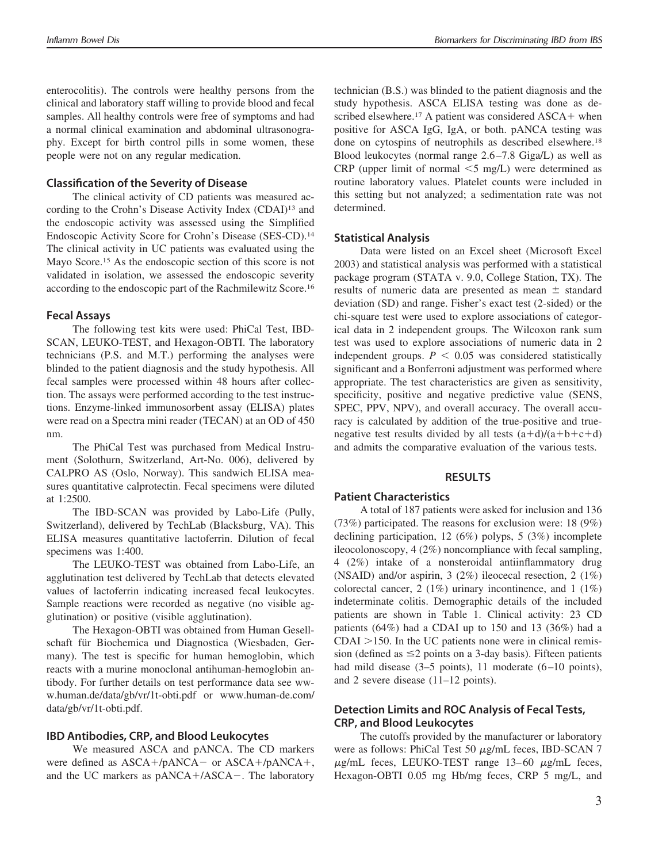enterocolitis). The controls were healthy persons from the clinical and laboratory staff willing to provide blood and fecal samples. All healthy controls were free of symptoms and had a normal clinical examination and abdominal ultrasonography. Except for birth control pills in some women, these people were not on any regular medication.

# **Classification of the Severity of Disease**

The clinical activity of CD patients was measured according to the Crohn's Disease Activity Index (CDAI)13 and the endoscopic activity was assessed using the Simplified Endoscopic Activity Score for Crohn's Disease (SES-CD).14 The clinical activity in UC patients was evaluated using the Mayo Score.15 As the endoscopic section of this score is not validated in isolation, we assessed the endoscopic severity according to the endoscopic part of the Rachmilewitz Score.16

# **Fecal Assays**

The following test kits were used: PhiCal Test, IBD-SCAN, LEUKO-TEST, and Hexagon-OBTI. The laboratory technicians (P.S. and M.T.) performing the analyses were blinded to the patient diagnosis and the study hypothesis. All fecal samples were processed within 48 hours after collection. The assays were performed according to the test instructions. Enzyme-linked immunosorbent assay (ELISA) plates were read on a Spectra mini reader (TECAN) at an OD of 450 nm.

The PhiCal Test was purchased from Medical Instrument (Solothurn, Switzerland, Art-No. 006), delivered by CALPRO AS (Oslo, Norway). This sandwich ELISA measures quantitative calprotectin. Fecal specimens were diluted at 1:2500.

The IBD-SCAN was provided by Labo-Life (Pully, Switzerland), delivered by TechLab (Blacksburg, VA). This ELISA measures quantitative lactoferrin. Dilution of fecal specimens was 1:400.

The LEUKO-TEST was obtained from Labo-Life, an agglutination test delivered by TechLab that detects elevated values of lactoferrin indicating increased fecal leukocytes. Sample reactions were recorded as negative (no visible agglutination) or positive (visible agglutination).

The Hexagon-OBTI was obtained from Human Gesellschaft für Biochemica und Diagnostica (Wiesbaden, Germany). The test is specific for human hemoglobin, which reacts with a murine monoclonal antihuman-hemoglobin antibody. For further details on test performance data see www.human.de/data/gb/vr/1t-obti.pdf or www.human-de.com/ data/gb/vr/1t-obti.pdf.

## **IBD Antibodies, CRP, and Blood Leukocytes**

We measured ASCA and pANCA. The CD markers were defined as  $ASCA + /pANCA -$  or  $ASCA + /pANCA +$ , and the UC markers as pANCA+/ASCA-. The laboratory

technician (B.S.) was blinded to the patient diagnosis and the study hypothesis. ASCA ELISA testing was done as described elsewhere.<sup>17</sup> A patient was considered  $ASCA+$  when positive for ASCA IgG, IgA, or both. pANCA testing was done on cytospins of neutrophils as described elsewhere.18 Blood leukocytes (normal range 2.6 –7.8 Giga/L) as well as CRP (upper limit of normal  $\leq$ 5 mg/L) were determined as routine laboratory values. Platelet counts were included in this setting but not analyzed; a sedimentation rate was not determined.

## **Statistical Analysis**

Data were listed on an Excel sheet (Microsoft Excel 2003) and statistical analysis was performed with a statistical package program (STATA v. 9.0, College Station, TX). The results of numeric data are presented as mean  $\pm$  standard deviation (SD) and range. Fisher's exact test (2-sided) or the chi-square test were used to explore associations of categorical data in 2 independent groups. The Wilcoxon rank sum test was used to explore associations of numeric data in 2 independent groups.  $P < 0.05$  was considered statistically significant and a Bonferroni adjustment was performed where appropriate. The test characteristics are given as sensitivity, specificity, positive and negative predictive value (SENS, SPEC, PPV, NPV), and overall accuracy. The overall accuracy is calculated by addition of the true-positive and truenegative test results divided by all tests  $(a+d)/(a+b+c+d)$ and admits the comparative evaluation of the various tests.

## **RESULTS**

## **Patient Characteristics**

A total of 187 patients were asked for inclusion and 136 (73%) participated. The reasons for exclusion were: 18 (9%) declining participation, 12 (6%) polyps, 5 (3%) incomplete ileocolonoscopy, 4 (2%) noncompliance with fecal sampling, 4 (2%) intake of a nonsteroidal antiinflammatory drug (NSAID) and/or aspirin, 3 (2%) ileocecal resection, 2 (1%) colorectal cancer, 2 (1%) urinary incontinence, and 1 (1%) indeterminate colitis. Demographic details of the included patients are shown in Table 1. Clinical activity: 23 CD patients (64%) had a CDAI up to 150 and 13 (36%) had a  $CDAI > 150$ . In the UC patients none were in clinical remission (defined as  $\leq$ 2 points on a 3-day basis). Fifteen patients had mild disease (3–5 points), 11 moderate (6–10 points), and 2 severe disease (11–12 points).

# **Detection Limits and ROC Analysis of Fecal Tests, CRP, and Blood Leukocytes**

The cutoffs provided by the manufacturer or laboratory were as follows: PhiCal Test 50  $\mu$ g/mL feces, IBD-SCAN 7  $\mu$ g/mL feces, LEUKO-TEST range 13–60  $\mu$ g/mL feces, Hexagon-OBTI 0.05 mg Hb/mg feces, CRP 5 mg/L, and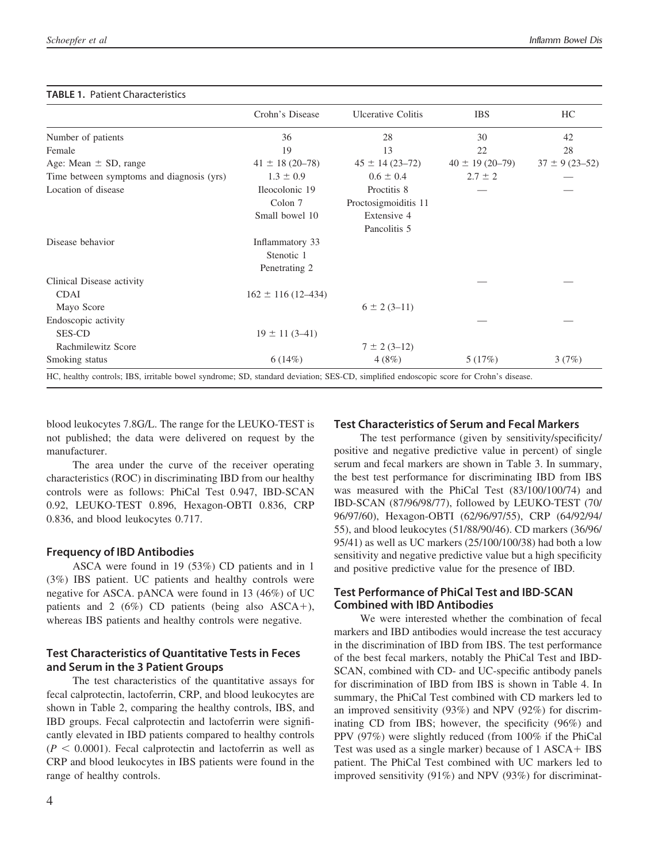|                                           | Crohn's Disease         | <b>Ulcerative Colitis</b> | <b>IBS</b>           | HC.                 |
|-------------------------------------------|-------------------------|---------------------------|----------------------|---------------------|
| Number of patients                        | 36                      | 28                        | 30                   | 42                  |
| Female                                    | 19                      | 13                        | 22                   | 28                  |
| Age: Mean $\pm$ SD, range                 | $41 \pm 18(20 - 78)$    | $45 \pm 14 (23 - 72)$     | $40 \pm 19(20 - 79)$ | $37 \pm 9(23 - 52)$ |
| Time between symptoms and diagnosis (yrs) | $1.3 \pm 0.9$           | $0.6 \pm 0.4$             | $2.7 \pm 2$          |                     |
| Location of disease                       | Ileocolonic 19          | Proctitis 8               |                      |                     |
|                                           | Colon 7                 | Proctosigmoiditis 11      |                      |                     |
|                                           | Small bowel 10          | Extensive 4               |                      |                     |
|                                           |                         | Pancolitis 5              |                      |                     |
| Disease behavior                          | Inflammatory 33         |                           |                      |                     |
|                                           | Stenotic 1              |                           |                      |                     |
|                                           | Penetrating 2           |                           |                      |                     |
| Clinical Disease activity                 |                         |                           |                      |                     |
| <b>CDAI</b>                               | $162 \pm 116(12 - 434)$ |                           |                      |                     |
| Mayo Score                                |                         | $6 \pm 2(3-11)$           |                      |                     |
| Endoscopic activity                       |                         |                           |                      |                     |
| <b>SES-CD</b>                             | $19 \pm 11 (3 - 41)$    |                           |                      |                     |
| Rachmilewitz Score                        |                         | $7 \pm 2(3-12)$           |                      |                     |
| Smoking status                            | 6(14%)                  | 4(8%)                     | 5(17%)               | 3(7%)               |

# **TABLE 1.** Patient Characteristics

blood leukocytes 7.8G/L. The range for the LEUKO-TEST is not published; the data were delivered on request by the manufacturer.

The area under the curve of the receiver operating characteristics (ROC) in discriminating IBD from our healthy controls were as follows: PhiCal Test 0.947, IBD-SCAN 0.92, LEUKO-TEST 0.896, Hexagon-OBTI 0.836, CRP 0.836, and blood leukocytes 0.717.

## **Frequency of IBD Antibodies**

ASCA were found in 19 (53%) CD patients and in 1 (3%) IBS patient. UC patients and healthy controls were negative for ASCA. pANCA were found in 13 (46%) of UC patients and 2 (6%) CD patients (being also  $ASCA+$ ), whereas IBS patients and healthy controls were negative.

# **Test Characteristics of Quantitative Tests in Feces and Serum in the 3 Patient Groups**

The test characteristics of the quantitative assays for fecal calprotectin, lactoferrin, CRP, and blood leukocytes are shown in Table 2, comparing the healthy controls, IBS, and IBD groups. Fecal calprotectin and lactoferrin were significantly elevated in IBD patients compared to healthy controls  $(P < 0.0001)$ . Fecal calprotectin and lactoferrin as well as CRP and blood leukocytes in IBS patients were found in the range of healthy controls.

## **Test Characteristics of Serum and Fecal Markers**

The test performance (given by sensitivity/specificity/ positive and negative predictive value in percent) of single serum and fecal markers are shown in Table 3. In summary, the best test performance for discriminating IBD from IBS was measured with the PhiCal Test (83/100/100/74) and IBD-SCAN (87/96/98/77), followed by LEUKO-TEST (70/ 96/97/60), Hexagon-OBTI (62/96/97/55), CRP (64/92/94/ 55), and blood leukocytes (51/88/90/46). CD markers (36/96/ 95/41) as well as UC markers (25/100/100/38) had both a low sensitivity and negative predictive value but a high specificity and positive predictive value for the presence of IBD.

# **Test Performance of PhiCal Test and IBD-SCAN Combined with IBD Antibodies**

We were interested whether the combination of fecal markers and IBD antibodies would increase the test accuracy in the discrimination of IBD from IBS. The test performance of the best fecal markers, notably the PhiCal Test and IBD-SCAN, combined with CD- and UC-specific antibody panels for discrimination of IBD from IBS is shown in Table 4. In summary, the PhiCal Test combined with CD markers led to an improved sensitivity (93%) and NPV (92%) for discriminating CD from IBS; however, the specificity (96%) and PPV (97%) were slightly reduced (from 100% if the PhiCal Test was used as a single marker) because of 1 ASCA + IBS patient. The PhiCal Test combined with UC markers led to improved sensitivity (91%) and NPV (93%) for discriminat-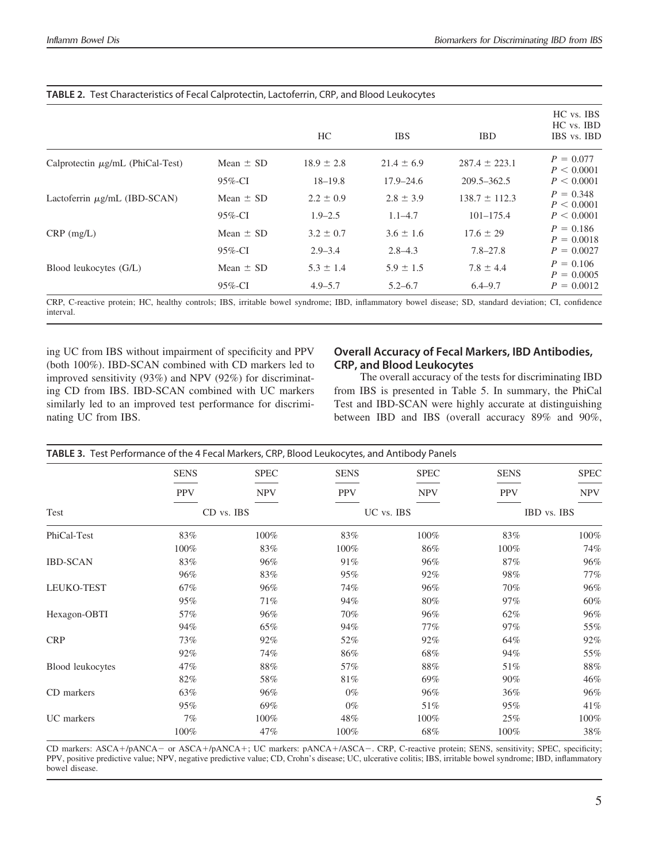|                                       |               | HС             | <b>IBS</b>     | <b>IBD</b>        | HC vs. IBS<br>HC vs. IBD<br>IBS vs. IBD |
|---------------------------------------|---------------|----------------|----------------|-------------------|-----------------------------------------|
| Calprotectin $\mu$ g/mL (PhiCal-Test) | Mean $\pm$ SD | $18.9 \pm 2.8$ | $21.4 \pm 6.9$ | $287.4 \pm 223.1$ | $P = 0.077$<br>P < 0.0001               |
|                                       | $95%$ -CI     | $18 - 19.8$    | $17.9 - 24.6$  | 209.5-362.5       | P < 0.0001                              |
| Lactoferrin $\mu$ g/mL (IBD-SCAN)     | Mean $\pm$ SD | $2.2 \pm 0.9$  | $2.8 \pm 3.9$  | $138.7 \pm 112.3$ | $P = 0.348$<br>P < 0.0001               |
|                                       | $95\%$ -CI    | $1.9 - 2.5$    | $1.1 - 4.7$    | $101 - 175.4$     | P < 0.0001                              |
| $CRP$ (mg/L)                          | Mean $\pm$ SD | $3.2 \pm 0.7$  | $3.6 \pm 1.6$  | $17.6 \pm 29$     | $P = 0.186$<br>$P = 0.0018$             |
|                                       | $95%$ -CI     | $2.9 - 3.4$    | $2.8 - 4.3$    | $7.8 - 27.8$      | $P = 0.0027$                            |
| Blood leukocytes (G/L)                | Mean $\pm$ SD | $5.3 \pm 1.4$  | $5.9 \pm 1.5$  | $7.8 \pm 4.4$     | $P = 0.106$<br>$P = 0.0005$             |
|                                       | $95\%$ -CI    | $4.9 - 5.7$    | $5.2 - 6.7$    | $6.4 - 9.7$       | $P = 0.0012$                            |

#### **TABLE 2.** Test Characteristics of Fecal Calprotectin, Lactoferrin, CRP, and Blood Leukocytes

CRP, C-reactive protein; HC, healthy controls; IBS, irritable bowel syndrome; IBD, inflammatory bowel disease; SD, standard deviation; CI, confidence interval.

ing UC from IBS without impairment of specificity and PPV (both 100%). IBD-SCAN combined with CD markers led to improved sensitivity (93%) and NPV (92%) for discriminating CD from IBS. IBD-SCAN combined with UC markers similarly led to an improved test performance for discriminating UC from IBS.

# **Overall Accuracy of Fecal Markers, IBD Antibodies, CRP, and Blood Leukocytes**

The overall accuracy of the tests for discriminating IBD from IBS is presented in Table 5. In summary, the PhiCal Test and IBD-SCAN were highly accurate at distinguishing between IBD and IBS (overall accuracy 89% and 90%,

|                  | <b>SENS</b> | <b>SPEC</b> | <b>SENS</b> | <b>SPEC</b> | <b>SENS</b> | <b>SPEC</b> |
|------------------|-------------|-------------|-------------|-------------|-------------|-------------|
| Test             | <b>PPV</b>  | <b>NPV</b>  | <b>PPV</b>  | <b>NPV</b>  | <b>PPV</b>  | <b>NPV</b>  |
|                  | CD vs. IBS  |             | UC vs. IBS  |             | IBD vs. IBS |             |
| PhiCal-Test      | 83%         | 100%        | 83%         | 100%        | 83%         | 100%        |
|                  | 100%        | 83%         | 100%        | 86%         | 100%        | 74%         |
| <b>IBD-SCAN</b>  | 83%         | 96%         | 91%         | 96%         | 87%         | 96%         |
|                  | 96%         | 83%         | 95%         | 92%         | 98%         | 77%         |
| LEUKO-TEST       | 67%         | 96%         | 74%         | 96%         | 70%         | 96%         |
|                  | 95%         | 71%         | 94%         | 80%         | 97%         | 60%         |
| Hexagon-OBTI     | 57%         | 96%         | 70%         | 96%         | 62%         | 96%         |
|                  | 94%         | 65%         | 94%         | 77%         | 97%         | 55%         |
| <b>CRP</b>       | 73%         | 92%         | 52%         | 92%         | 64%         | 92%         |
|                  | 92%         | 74%         | 86%         | 68%         | 94%         | 55%         |
| Blood leukocytes | 47%         | 88%         | 57%         | 88%         | 51%         | 88%         |
|                  | 82%         | 58%         | 81%         | 69%         | 90%         | 46%         |
| CD markers       | 63%         | 96%         | $0\%$       | 96%         | 36%         | 96%         |
|                  | 95%         | 69%         | $0\%$       | 51%         | 95%         | 41%         |
| UC markers       | 7%          | 100%        | 48%         | 100%        | 25%         | 100%        |
|                  | 100%        | 47%         | 100%        | 68%         | 100%        | 38%         |

#### CD markers: ASCA+/pANCA- or ASCA+/pANCA+; UC markers: pANCA+/ASCA-. CRP, C-reactive protein; SENS, sensitivity; SPEC, specificity; PPV, positive predictive value; NPV, negative predictive value; CD, Crohn's disease; UC, ulcerative colitis; IBS, irritable bowel syndrome; IBD, inflammatory bowel disease.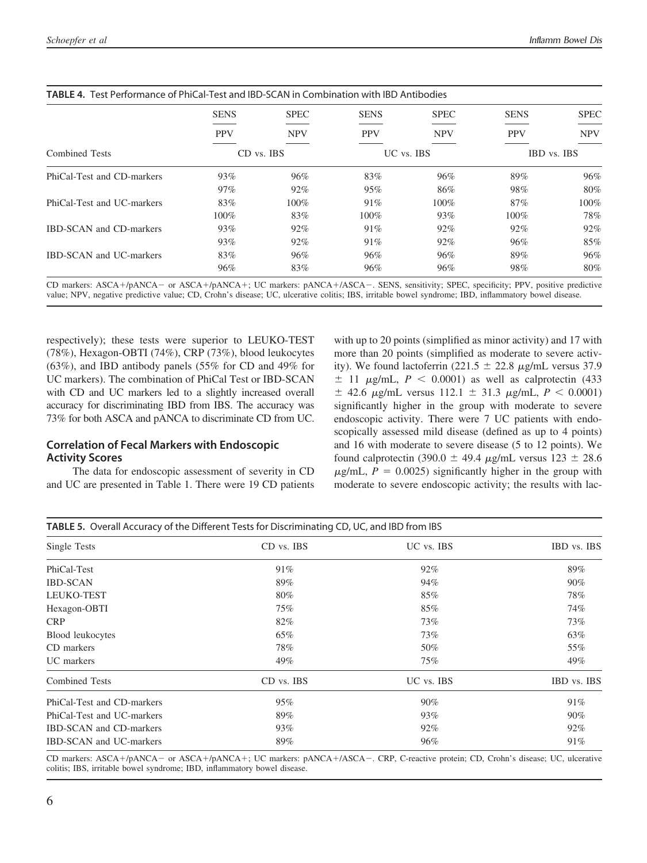|                                | <b>SENS</b> | <b>SPEC</b> | <b>SENS</b> | <b>SPEC</b> | <b>SENS</b> | <b>SPEC</b> |
|--------------------------------|-------------|-------------|-------------|-------------|-------------|-------------|
|                                | <b>PPV</b>  | <b>NPV</b>  | <b>PPV</b>  | <b>NPV</b>  | <b>PPV</b>  | <b>NPV</b>  |
| <b>Combined Tests</b>          | CD vs. IBS  |             | UC vs. IBS  |             | IBD vs. IBS |             |
| PhiCal-Test and CD-markers     | 93%         | 96%         | 83%         | 96%         | 89%         | 96%         |
|                                | $97\%$      | 92%         | 95%         | 86%         | 98%         | 80%         |
| PhiCal-Test and UC-markers     | 83%         | 100%        | 91%         | 100%        | 87%         | 100%        |
|                                | $100\%$     | 83%         | $100\%$     | 93%         | 100%        | 78%         |
| <b>IBD-SCAN</b> and CD-markers | 93%         | 92%         | 91%         | 92%         | 92%         | 92%         |
|                                | 93%         | 92%         | 91%         | 92%         | 96%         | 85%         |
| IBD-SCAN and UC-markers        | 83%         | 96%         | 96%         | 96%         | 89%         | 96%         |
|                                | 96%         | 83%         | 96%         | 96%         | 98%         | 80%         |

| <b>TABLE 4.</b> Test Performance of PhiCal-Test and IBD-SCAN in Combination with IBD Antibodies |  |
|-------------------------------------------------------------------------------------------------|--|
|-------------------------------------------------------------------------------------------------|--|

CD markers: ASCA+/pANCA- or ASCA+/pANCA+; UC markers: pANCA+/ASCA-. SENS, sensitivity; SPEC, specificity; PPV, positive predictive value; NPV, negative predictive value; CD, Crohn's disease; UC, ulcerative colitis; IBS, irritable bowel syndrome; IBD, inflammatory bowel disease.

respectively); these tests were superior to LEUKO-TEST (78%), Hexagon-OBTI (74%), CRP (73%), blood leukocytes (63%), and IBD antibody panels (55% for CD and 49% for UC markers). The combination of PhiCal Test or IBD-SCAN with CD and UC markers led to a slightly increased overall accuracy for discriminating IBD from IBS. The accuracy was 73% for both ASCA and pANCA to discriminate CD from UC.

# **Correlation of Fecal Markers with Endoscopic Activity Scores**

The data for endoscopic assessment of severity in CD and UC are presented in Table 1. There were 19 CD patients with up to 20 points (simplified as minor activity) and 17 with more than 20 points (simplified as moderate to severe activity). We found lactoferrin (221.5  $\pm$  22.8  $\mu$ g/mL versus 37.9  $\pm$  11  $\mu$ g/mL,  $P < 0.0001$ ) as well as calprotectin (433)  $\pm$  42.6  $\mu$ g/mL versus 112.1  $\pm$  31.3  $\mu$ g/mL,  $P < 0.0001$ ) significantly higher in the group with moderate to severe endoscopic activity. There were 7 UC patients with endoscopically assessed mild disease (defined as up to 4 points) and 16 with moderate to severe disease (5 to 12 points). We found calprotectin (390.0  $\pm$  49.4  $\mu$ g/mL versus 123  $\pm$  28.6  $\mu$ g/mL,  $P = 0.0025$ ) significantly higher in the group with moderate to severe endoscopic activity; the results with lac-

| TABLE 5. Overall Accuracy of the Different Tests for Discriminating CD, UC, and IBD from IBS |            |            |                           |  |  |
|----------------------------------------------------------------------------------------------|------------|------------|---------------------------|--|--|
| Single Tests                                                                                 | CD vs. IBS | UC vs. IBS | IBD vs. IBS               |  |  |
| PhiCal-Test                                                                                  | 91%        | 92%        | 89%                       |  |  |
| <b>IBD-SCAN</b>                                                                              | 89%        | 94%        | $90\%$                    |  |  |
| <b>LEUKO-TEST</b>                                                                            | $80\%$     | 85%        | 78%                       |  |  |
| Hexagon-OBTI                                                                                 | $75\%$     | 85%        | 74%                       |  |  |
| <b>CRP</b>                                                                                   | 82%        | 73%        | 73%                       |  |  |
| Blood leukocytes                                                                             | 65%        | 73%        | 63%                       |  |  |
| CD markers                                                                                   | 78%        | 50%        | 55%                       |  |  |
| UC markers                                                                                   | 49%        | 75%        | 49%                       |  |  |
| <b>Combined Tests</b>                                                                        | CD vs. IBS | UC vs. IBS | <b>IBD</b> vs. <b>IBS</b> |  |  |
| PhiCal-Test and CD-markers                                                                   | 95%        | $90\%$     | 91%                       |  |  |
| PhiCal-Test and UC-markers                                                                   | 89%        | 93%        | $90\%$                    |  |  |
| <b>IBD-SCAN</b> and CD-markers                                                               | 93%        | 92%        | 92%                       |  |  |
| IBD-SCAN and UC-markers                                                                      | 89%        | 96%        | 91%                       |  |  |

CD markers: ASCA+/pANCA- or ASCA+/pANCA+; UC markers: pANCA+/ASCA-. CRP, C-reactive protein; CD, Crohn's disease; UC, ulcerative colitis; IBS, irritable bowel syndrome; IBD, inflammatory bowel disease.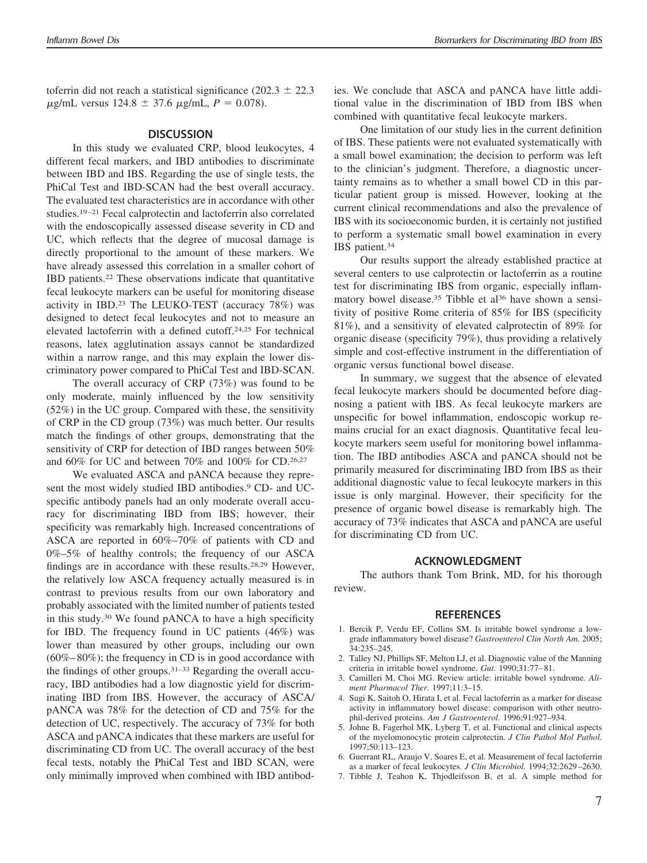toferrin did not reach a statistical significance (202.3  $\pm$  22.3  $\mu$ g/mL versus 124.8  $\pm$  37.6  $\mu$ g/mL,  $P = 0.078$ ).

#### **DISCUSSION**

In this study we evaluated CRP, blood leukocytes, 4 different fecal markers, and IBD antibodies to discriminate between IBD and IBS. Regarding the use of single tests, the PhiCal Test and IBD-SCAN had the best overall accuracy. The evaluated test characteristics are in accordance with other studies.<sup>19-21</sup> Fecal calprotectin and lactoferrin also correlated with the endoscopically assessed disease severity in CD and UC, which reflects that the degree of mucosal damage is directly proportional to the amount of these markers. We have already assessed this correlation in a smaller cohort of IBD patients.22 These observations indicate that quantitative fecal leukocyte markers can be useful for monitoring disease activity in IBD.23 The LEUKO-TEST (accuracy 78%) was designed to detect fecal leukocytes and not to measure an elevated lactoferrin with a defined cutoff.24,25 For technical reasons, latex agglutination assays cannot be standardized within a narrow range, and this may explain the lower discriminatory power compared to PhiCal Test and IBD-SCAN.

The overall accuracy of CRP (73%) was found to be only moderate, mainly influenced by the low sensitivity (52%) in the UC group. Compared with these, the sensitivity of CRP in the CD group (73%) was much better. Our results match the findings of other groups, demonstrating that the sensitivity of CRP for detection of IBD ranges between 50% and 60% for UC and between 70% and 100% for CD.26,27

We evaluated ASCA and pANCA because they represent the most widely studied IBD antibodies.<sup>9</sup> CD- and UCspecific antibody panels had an only moderate overall accuracy for discriminating IBD from IBS; however, their specificity was remarkably high. Increased concentrations of ASCA are reported in 60%–70% of patients with CD and 0%–5% of healthy controls; the frequency of our ASCA findings are in accordance with these results.28,29 However, the relatively low ASCA frequency actually measured is in contrast to previous results from our own laboratory and probably associated with the limited number of patients tested in this study.30 We found pANCA to have a high specificity for IBD. The frequency found in UC patients (46%) was lower than measured by other groups, including our own (60%– 80%); the frequency in CD is in good accordance with the findings of other groups.<sup>31-33</sup> Regarding the overall accuracy, IBD antibodies had a low diagnostic yield for discriminating IBD from IBS. However, the accuracy of ASCA/ pANCA was 78% for the detection of CD and 75% for the detection of UC, respectively. The accuracy of 73% for both ASCA and pANCA indicates that these markers are useful for discriminating CD from UC. The overall accuracy of the best fecal tests, notably the PhiCal Test and IBD SCAN, were only minimally improved when combined with IBD antibodies. We conclude that ASCA and pANCA have little additional value in the discrimination of IBD from IBS when combined with quantitative fecal leukocyte markers.

One limitation of our study lies in the current definition of IBS. These patients were not evaluated systematically with a small bowel examination; the decision to perform was left to the clinician's judgment. Therefore, a diagnostic uncertainty remains as to whether a small bowel CD in this particular patient group is missed. However, looking at the current clinical recommendations and also the prevalence of IBS with its socioeconomic burden, it is certainly not justified to perform a systematic small bowel examination in every IBS patient.34

Our results support the already established practice at several centers to use calprotectin or lactoferrin as a routine test for discriminating IBS from organic, especially inflammatory bowel disease.<sup>35</sup> Tibble et al<sup>36</sup> have shown a sensitivity of positive Rome criteria of 85% for IBS (specificity 81%), and a sensitivity of elevated calprotectin of 89% for organic disease (specificity 79%), thus providing a relatively simple and cost-effective instrument in the differentiation of organic versus functional bowel disease.

In summary, we suggest that the absence of elevated fecal leukocyte markers should be documented before diagnosing a patient with IBS. As fecal leukocyte markers are unspecific for bowel inflammation, endoscopic workup remains crucial for an exact diagnosis. Quantitative fecal leukocyte markers seem useful for monitoring bowel inflammation. The IBD antibodies ASCA and pANCA should not be primarily measured for discriminating IBD from IBS as their additional diagnostic value to fecal leukocyte markers in this issue is only marginal. However, their specificity for the presence of organic bowel disease is remarkably high. The accuracy of 73% indicates that ASCA and pANCA are useful for discriminating CD from UC.

#### **ACKNOWLEDGMENT**

The authors thank Tom Brink, MD, for his thorough review.

#### **REFERENCES**

- 1. Bercik P, Verdu EF, Collins SM. Is irritable bowel syndrome a lowgrade inflammatory bowel disease? *Gastroenterol Clin North Am.* 2005; 34:235–245.
- 2. Talley NJ, Phillips SF, Melton LJ, et al. Diagnostic value of the Manning criteria in irritable bowel syndrome. *Gut.* 1990;31:77– 81.
- 3. Camilleri M, Choi MG. Review article: irritable bowel syndrome. *Aliment Pharmacol Ther.* 1997;11:3–15.
- 4. Sugi K, Saitoh O, Hirata I, et al. Fecal lactoferrin as a marker for disease activity in inflammatory bowel disease: comparison with other neutrophil-derived proteins. *Am J Gastroenterol.* 1996;91:927–934.
- 5. Johne B, Fagerhol MK, Lyberg T, et al. Functional and clinical aspects of the myelomonocytic protein calprotectin. *J Clin Pathol Mol Pathol.* 1997;50:113–123.
- 6. Guerrant RL, Araujo V, Soares E, et al. Measurement of fecal lactoferrin as a marker of fecal leukocytes. *J Clin Microbiol.* 1994;32:2629 –2630.
- 7. Tibble J, Teahon K, Thjodleifsson B, et al. A simple method for